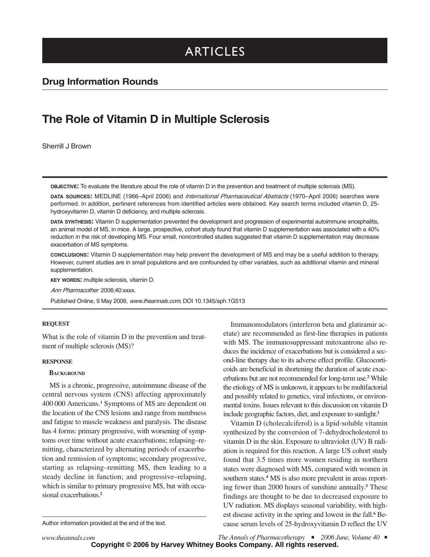# ARTICLES

### **Drug Information Rounds**

## **The Role of Vitamin D in Multiple Sclerosis**

Sherrill J Brown

**OBJECTIVE:** To evaluate the literature about the role of vitamin D in the prevention and treatment of multiple sclerosis (MS).

**DATA SOURCES:** MEDLINE (1966–April 2006) and International Pharmaceutical Abstracts (1970–April 2006) searches were performed. In addition, pertinent references from identified articles were obtained. Key search terms included vitamin D, 25 hydroxyvitamin D, vitamin D deficiency, and multiple sclerosis.

**DATA SYNTHESIS:** Vitamin D supplementation prevented the development and progression of experimental autoimmune encephalitis, an animal model of MS, in mice. A large, prospective, cohort study found that vitamin D supplementation was associated with a 40% reduction in the risk of developing MS. Four small, noncontrolled studies suggested that vitamin D supplementation may decrease exacerbation of MS symptoms.

**CONCLUSIONS:** Vitamin D supplementation may help prevent the development of MS and may be a useful addition to therapy. However, current studies are in small populations and are confounded by other variables, such as additional vitamin and mineral supplementation.

**KEY WORDS:** multiple sclerosis, vitamin D.

Ann Pharmacother 2006;40:xxxx.

Published Online, 9 May 2006, www.theannals.com, DOI 10.1345/aph.1G513

#### **REQUEST**

What is the role of vitamin D in the prevention and treatment of multiple sclerosis (MS)?

#### **RESPONSE**

#### **BACKGROUND**

MS is a chronic, progressive, autoimmune disease of the central nervous system (CNS) affecting approximately 400 000 Americans.**<sup>1</sup>** Symptoms of MS are dependent on the location of the CNS lesions and range from numbness and fatigue to muscle weakness and paralysis. The disease has 4 forms: primary progressive, with worsening of symptoms over time without acute exacerbations; relapsing–remitting, characterized by alternating periods of exacerbation and remission of symptoms; secondary progressive, starting as relapsing–remitting MS, then leading to a steady decline in function; and progressive–relapsing, which is similar to primary progressive MS, but with occasional exacerbations.**<sup>2</sup>**

Author information provided at the end of the text.

Immunomodulators (interferon beta and glatiramir acetate) are recommended as first-line therapies in patients with MS. The immunosuppressant mitoxantrone also reduces the incidence of exacerbations but is considered a second-line therapy due to its adverse effect profile. Glucocorticoids are beneficial in shortening the duration of acute exacerbations but are not recommended for long-term use.**<sup>2</sup>** While the etiology of MS is unknown, it appears to be multifactorial and possibly related to genetics, viral infections, or environmental toxins. Issues relevant to this discussion on vitamin D include geographic factors, diet, and exposure to sunlight.**<sup>3</sup>**

Vitamin D (cholecalciferol) is a lipid-soluble vitamin synthesized by the conversion of 7-dehydrocholesterol to vitamin D in the skin. Exposure to ultraviolet (UV) B radiation is required for this reaction. A large US cohort study found that 3.5 times more women residing in northern states were diagnosed with MS, compared with women in southern states.<sup>4</sup> MS is also more prevalent in areas reporting fewer than 2000 hours of sunshine annually.**<sup>5</sup>** These findings are thought to be due to decreased exposure to UV radiation. MS displays seasonal variability, with highest disease activity in the spring and lowest in the fall.**<sup>6</sup>** Because serum levels of 25-hydroxyvitamin D reflect the UV

*www.theannals.com The Annals of Pharmacotherapy* ■ *2006 June, Volume 40* ■ **Copyright © 2006 by Harvey Whitney Books Company. All rights reserved.**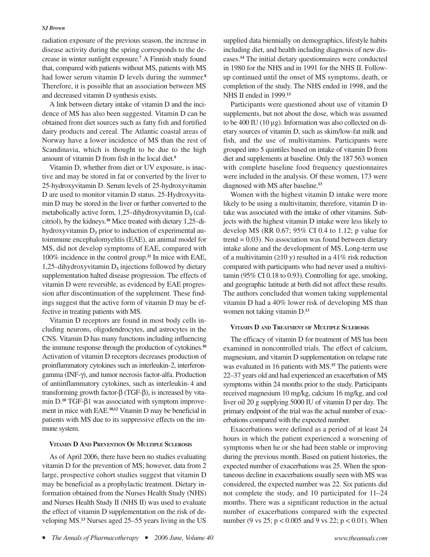#### *SJ Brown*

radiation exposure of the previous season, the increase in disease activity during the spring corresponds to the decrease in winter sunlight exposure.**<sup>7</sup>** A Finnish study found that, compared with patients without MS, patients with MS had lower serum vitamin D levels during the summer.**<sup>8</sup>** Therefore, it is possible that an association between MS and decreased vitamin D synthesis exists.

A link between dietary intake of vitamin D and the incidence of MS has also been suggested. Vitamin D can be obtained from diet sources such as fatty fish and fortified dairy products and cereal. The Atlantic coastal areas of Norway have a lower incidence of MS than the rest of Scandinavia, which is thought to be due to the high amount of vitamin D from fish in the local diet.**<sup>9</sup>**

Vitamin D, whether from diet or UV exposure, is inactive and may be stored in fat or converted by the liver to 25-hydroxyvitamin D. Serum levels of 25-hydroxyvitamin D are used to monitor vitamin D status. 25-Hydroxyvitamin D may be stored in the liver or further converted to the metabolically active form,  $1,25$ -dihydroxyvitamin  $D_3$  (calcitriol), by the kidneys.**<sup>10</sup>** Mice treated with dietary 1,25-dihydroxyvitamin D**<sup>3</sup>** prior to induction of experimental autoimmune encephalomyelitis (EAE), an animal model for MS, did not develop symptoms of EAE, compared with 100% incidence in the control group.**<sup>11</sup>** In mice with EAE, 1,25-dihydroxyvitamin D**<sup>3</sup>** injections followed by dietary supplementation halted disease progression. The effects of vitamin D were reversible, as evidenced by EAE progression after discontinuation of the supplement. These findings suggest that the active form of vitamin D may be effective in treating patients with MS.

Vitamin D receptors are found in most body cells including neurons, oligodendrocytes, and astrocytes in the CNS. Vitamin D has many functions including influencing the immune response through the production of cytokines.**<sup>10</sup>** Activation of vitamin D receptors decreases production of proinflammatory cytokines such as interleukin-2, interferongamma (INF-γ), and tumor necrosis factor-alfa. Production of antiinflammatory cytokines, such as interleukin-4 and transforming growth factor-β (TGF-β), is increased by vitamin D.**<sup>10</sup>** TGF-β1 was associated with symptom improvement in mice with EAE.**10,12** Vitamin D may be beneficial in patients with MS due to its suppressive effects on the immune system.

#### **VITAMIN D AND PREVENTION OF MULTIPLE SCLEROSIS**

As of April 2006, there have been no studies evaluating vitamin D for the prevention of MS; however, data from 2 large, prospective cohort studies suggest that vitamin D may be beneficial as a prophylactic treatment. Dietary information obtained from the Nurses Health Study (NHS) and Nurses Health Study II (NHS II) was used to evaluate the effect of vitamin D supplementation on the risk of developing MS.**<sup>13</sup>** Nurses aged 25–55 years living in the US supplied data biennially on demographics, lifestyle habits including diet, and health including diagnosis of new diseases.**<sup>14</sup>** The initial dietary questionnaires were conducted in 1980 for the NHS and in 1991 for the NHS II. Followup continued until the onset of MS symptoms, death, or completion of the study. The NHS ended in 1998, and the NHS II ended in 1999.**<sup>13</sup>**

Participants were questioned about use of vitamin D supplements, but not about the dose, which was assumed to be 400 IU (10 µg). Information was also collected on dietary sources of vitamin D, such as skim/low-fat milk and fish, and the use of multivitamins. Participants were grouped into 5 quintiles based on intake of vitamin D from diet and supplements at baseline. Only the 187 563 women with complete baseline food frequency questionnaires were included in the analysis. Of these women, 173 were diagnosed with MS after baseline.**<sup>13</sup>**

Women with the highest vitamin D intake were more likely to be using a multivitamin; therefore, vitamin D intake was associated with the intake of other vitamins. Subjects with the highest vitamin D intake were less likely to develop MS (RR 0.67; 95% CI 0.4 to 1.12; p value for  $trend = 0.03$ ). No association was found between dietary intake alone and the development of MS. Long-term use of a multivitamin ( $\geq$ 10 y) resulted in a 41% risk reduction compared with participants who had never used a multivitamin (95% CI 0.18 to 0.93). Controlling for age, smoking, and geographic latitude at birth did not affect these results. The authors concluded that women taking supplemental vitamin D had a 40% lower risk of developing MS than women not taking vitamin D.**<sup>13</sup>**

#### **VITAMIN D AND TREATMENT OF MULTIPLE SCLEROSIS**

The efficacy of vitamin D for treatment of MS has been examined in noncontrolled trials. The effect of calcium, magnesium, and vitamin D supplementation on relapse rate was evaluated in 16 patients with MS.**<sup>15</sup>** The patients were 22–37 years old and had experienced an exacerbation of MS symptoms within 24 months prior to the study. Participants received magnesium 10 mg/kg, calcium 16 mg/kg, and cod liver oil 20 g supplying 5000 IU of vitamin D per day. The primary endpoint of the trial was the actual number of exacerbations compared with the expected number.

Exacerbations were defined as a period of at least 24 hours in which the patient experienced a worsening of symptoms when he or she had been stable or improving during the previous month. Based on patient histories, the expected number of exacerbations was 25. When the spontaneous decline in exacerbations usually seen with MS was considered, the expected number was 22. Six patients did not complete the study, and 10 participated for 11–24 months. There was a significant reduction in the actual number of exacerbations compared with the expected number (9 vs 25; p < 0.005 and 9 vs 22; p < 0.01). When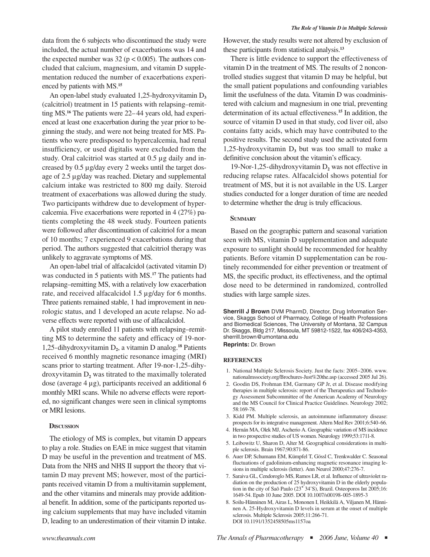data from the 6 subjects who discontinued the study were included, the actual number of exacerbations was 14 and the expected number was  $32 (p < 0.005)$ . The authors concluded that calcium, magnesium, and vitamin D supplementation reduced the number of exacerbations experienced by patients with MS.**<sup>15</sup>**

An open-label study evaluated 1,25-hydroxyvitamin D<sub>3</sub> (calcitriol) treatment in 15 patients with relapsing–remitting MS.**<sup>16</sup>** The patients were 22– 44 years old, had experienced at least one exacerbation during the year prior to beginning the study, and were not being treated for MS. Patients who were predisposed to hypercalcemia, had renal insufficiency, or used digitalis were excluded from the study. Oral calcitriol was started at 0.5 µg daily and increased by 0.5 µg/day every 2 weeks until the target dosage of 2.5 µg/day was reached. Dietary and supplemental calcium intake was restricted to 800 mg daily. Steroid treatment of exacerbations was allowed during the study. Two participants withdrew due to development of hypercalcemia. Five exacerbations were reported in 4 (27%) patients completing the 48 week study. Fourteen patients were followed after discontinuation of calcitriol for a mean of 10 months; 7 experienced 9 exacerbations during that period. The authors suggested that calcitriol therapy was unlikely to aggravate symptoms of MS.

An open-label trial of alfacalcidol (activated vitamin D) was conducted in 5 patients with MS.**<sup>17</sup>** The patients had relapsing–remitting MS, with a relatively low exacerbation rate, and received alfacalcidol 1.5 µg/day for 6 months. Three patients remained stable, 1 had improvement in neurologic status, and 1 developed an acute relapse. No adverse effects were reported with use of alfacalcidol.

A pilot study enrolled 11 patients with relapsing–remitting MS to determine the safety and efficacy of 19-nor-1,25-dihydroxyvitamin D**2**, a vitamin D analog.**<sup>18</sup>** Patients received 6 monthly magnetic resonance imaging (MRI) scans prior to starting treatment. After 19-nor-1,25-dihydroxyvitamin  $D_2$  was titrated to the maximally tolerated dose (average 4 µg), participants received an additional 6 monthly MRI scans. While no adverse effects were reported, no significant changes were seen in clinical symptoms or MRI lesions.

#### **DISCUSSION**

The etiology of MS is complex, but vitamin D appears to play a role. Studies on EAE in mice suggest that vitamin D may be useful in the prevention and treatment of MS. Data from the NHS and NHS II support the theory that vitamin D may prevent MS; however, most of the participants received vitamin D from a multivitamin supplement, and the other vitamins and minerals may provide additional benefit. In addition, some of the participants reported using calcium supplements that may have included vitamin D, leading to an underestimation of their vitamin D intake.

However, the study results were not altered by exclusion of these participants from statistical analysis.**<sup>13</sup>**

There is little evidence to support the effectiveness of vitamin D in the treatment of MS. The results of 2 noncontrolled studies suggest that vitamin D may be helpful, but the small patient populations and confounding variables limit the usefulness of the data. Vitamin D was coadministered with calcium and magnesium in one trial, preventing determination of its actual effectiveness.**<sup>15</sup>** In addition, the source of vitamin D used in that study, cod liver oil, also contains fatty acids, which may have contributed to the positive results. The second study used the activated form 1,25-hydroxyvitamin  $D_3$  but was too small to make a definitive conclusion about the vitamin's efficacy.

19-Nor-1,25-dihydroxyvitamin D**<sup>2</sup>** was not effective in reducing relapse rates. Alfacalcidol shows potential for treatment of MS, but it is not available in the US. Larger studies conducted for a longer duration of time are needed to determine whether the drug is truly efficacious.

#### **SUMMARY**

Based on the geographic pattern and seasonal variation seen with MS, vitamin D supplementation and adequate exposure to sunlight should be recommended for healthy patients. Before vitamin D supplementation can be routinely recommended for either prevention or treatment of MS, the specific product, its effectiveness, and the optimal dose need to be determined in randomized, controlled studies with large sample sizes.

**Sherrill J Brown** DVM PharmD, Director, Drug Information Service, Skaggs School of Pharmacy, College of Health Professions and Biomedical Sciences, The University of Montana, 32 Campus Dr. Skaggs, Bldg 217, Missoula, MT 59812-1522, fax 406/243-4353, sherrill.brown@umontana.edu **Reprints:** Dr. Brown

#### **REFERENCES**

- 1. National Multiple Sclerosis Society. Just the facts: 2005–2006. www. nationalmssociety.org/Brochures-Just%20the.asp (accessed 2005 Jul 26).
- 2. Goodin DS, Frohman EM, Garmany GP Jr, et al. Disease modifying therapies in multiple sclerosis: report of the Therapeutics and Technology Assessment Subcommittee of the American Academy of Neurology and the MS Council for Clinical Practice Guidelines. Neurology 2002; 58:169-78.
- 3. Kidd PM. Multiple sclerosis, an autoimmune inflammatory disease: prospects for its integrative management. Altern Med Rev 2001;6:540-66.
- 4. Hernán MA, Olek MJ, Ascherio A. Geographic variation of MS incidence in two prospective studies of US women. Neurology 1999;53:1711-8.
- 5. Leibowitz U, Sharon D, Alter M. Geographical considerations in multiple sclerosis. Brain 1967;90:871-86.
- 6. Auer DP, Schumann EM, Kümpfel T, Gössl C, Trenkwalder C. Seasonal fluctuations of gadolinium-enhancing magnetic resonance imaging lesions in multiple sclerosis (letter). Ann Neurol 2000;47:276-7.
- 7. Saraiva GL, Cendoroglo MS, Ramos LR, et al. Influence of ultraviolet radiation on the production of 25 hydroxyvitamin D in the elderly population in the city of Saõ Paulo (23**˚** 34'S), Brazil. Osteoporos Int 2005;16: 1649-54. Epub 10 June 2005. DOI 10.1007/s00198-005-1895-3
- 8. Soilu-Hänninen M, Airas L, Mononen I, Heikkilä A, Viljanen M, Hänninen A. 25-Hydroxyvitamin D levels in serum at the onset of multiple sclerosis. Multiple Sclerosis 2005;11:266-71. DOI 10.1191/1352458505ms1157oa